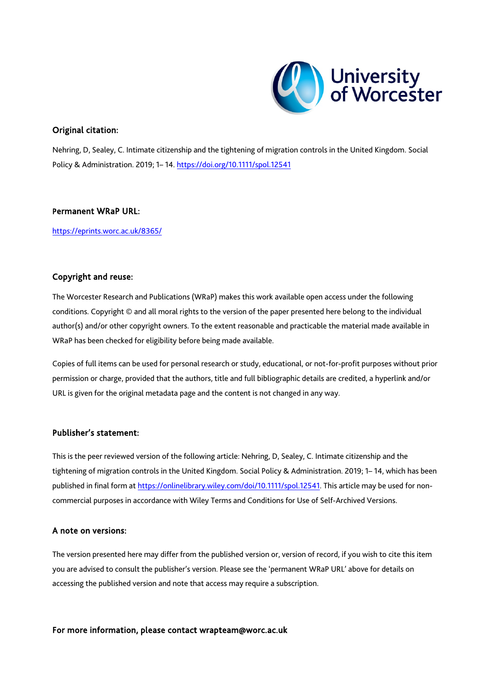

## Original citation:

Nehring, D, Sealey, C. Intimate citizenship and the tightening of migration controls in the United Kingdom. Social Policy & Administration. 2019; 1– 14[. https://doi.org/10.1111/spol.12541](https://doi.org/10.1111/spol.12541)

## Permanent WRaP URL:

<https://eprints.worc.ac.uk/8365/>

## Copyright and reuse:

The Worcester Research and Publications (WRaP) makes this work available open access under the following conditions. Copyright © and all moral rights to the version of the paper presented here belong to the individual author(s) and/or other copyright owners. To the extent reasonable and practicable the material made available in WRaP has been checked for eligibility before being made available.

Copies of full items can be used for personal research or study, educational, or not-for-profit purposes without prior permission or charge, provided that the authors, title and full bibliographic details are credited, a hyperlink and/or URL is given for the original metadata page and the content is not changed in any way.

#### Publisher's statement:

This is the peer reviewed version of the following article: Nehring, D, Sealey, C. Intimate citizenship and the tightening of migration controls in the United Kingdom. Social Policy & Administration. 2019; 1– 14, which has been published in final form a[t https://onlinelibrary.wiley.com/doi/10.1111/spol.12541.](https://onlinelibrary.wiley.com/doi/10.1111/spol.12541) This article may be used for noncommercial purposes in accordance with Wiley Terms and Conditions for Use of Self-Archived Versions.

#### A note on versions:

The version presented here may differ from the published version or, version of record, if you wish to cite this item you are advised to consult the publisher's version. Please see the 'permanent WRaP URL' above for details on accessing the published version and note that access may require a subscription.

For more information, please contact wrapteam@worc.ac.uk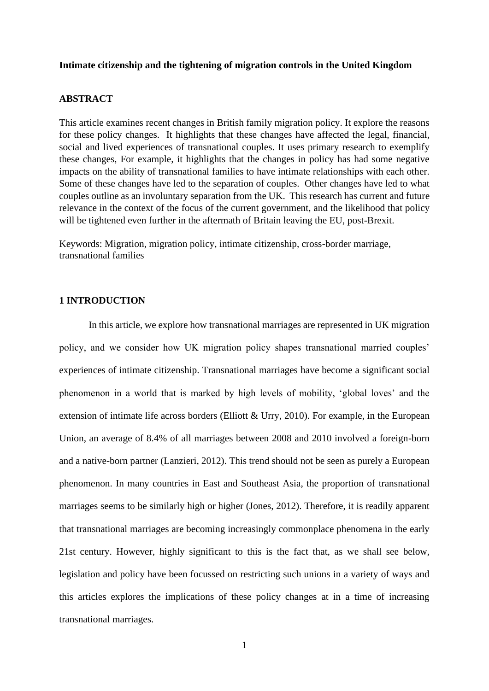#### **Intimate citizenship and the tightening of migration controls in the United Kingdom**

#### **ABSTRACT**

This article examines recent changes in British family migration policy. It explore the reasons for these policy changes. It highlights that these changes have affected the legal, financial, social and lived experiences of transnational couples. It uses primary research to exemplify these changes, For example, it highlights that the changes in policy has had some negative impacts on the ability of transnational families to have intimate relationships with each other. Some of these changes have led to the separation of couples. Other changes have led to what couples outline as an involuntary separation from the UK. This research has current and future relevance in the context of the focus of the current government, and the likelihood that policy will be tightened even further in the aftermath of Britain leaving the EU, post-Brexit.

Keywords: Migration, migration policy, intimate citizenship, cross-border marriage, transnational families

# **1 INTRODUCTION**

In this article, we explore how transnational marriages are represented in UK migration policy, and we consider how UK migration policy shapes transnational married couples' experiences of intimate citizenship. Transnational marriages have become a significant social phenomenon in a world that is marked by high levels of mobility, 'global loves' and the extension of intimate life across borders (Elliott & Urry, 2010). For example, in the European Union, an average of 8.4% of all marriages between 2008 and 2010 involved a foreign-born and a native-born partner (Lanzieri, 2012). This trend should not be seen as purely a European phenomenon. In many countries in East and Southeast Asia, the proportion of transnational marriages seems to be similarly high or higher (Jones, 2012). Therefore, it is readily apparent that transnational marriages are becoming increasingly commonplace phenomena in the early 21st century. However, highly significant to this is the fact that, as we shall see below, legislation and policy have been focussed on restricting such unions in a variety of ways and this articles explores the implications of these policy changes at in a time of increasing transnational marriages.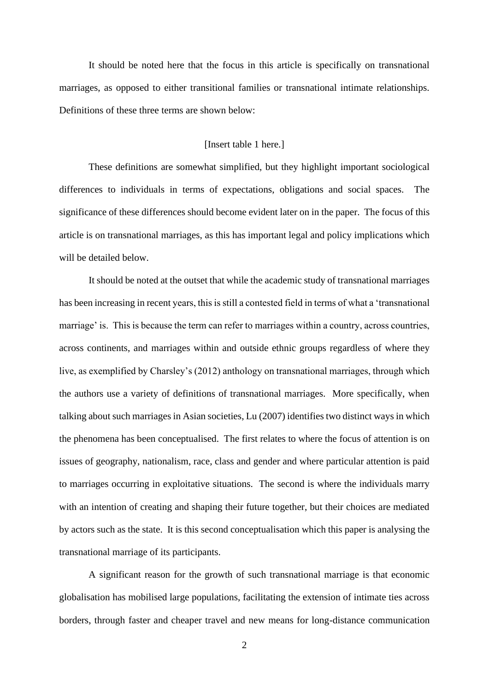It should be noted here that the focus in this article is specifically on transnational marriages, as opposed to either transitional families or transnational intimate relationships. Definitions of these three terms are shown below:

#### [Insert table 1 here.]

These definitions are somewhat simplified, but they highlight important sociological differences to individuals in terms of expectations, obligations and social spaces. The significance of these differences should become evident later on in the paper. The focus of this article is on transnational marriages, as this has important legal and policy implications which will be detailed below.

It should be noted at the outset that while the academic study of transnational marriages has been increasing in recent years, this is still a contested field in terms of what a 'transnational marriage' is. This is because the term can refer to marriages within a country, across countries, across continents, and marriages within and outside ethnic groups regardless of where they live, as exemplified by Charsley's (2012) anthology on transnational marriages, through which the authors use a variety of definitions of transnational marriages. More specifically, when talking about such marriages in Asian societies, Lu (2007) identifies two distinct ways in which the phenomena has been conceptualised. The first relates to where the focus of attention is on issues of geography, nationalism, race, class and gender and where particular attention is paid to marriages occurring in exploitative situations. The second is where the individuals marry with an intention of creating and shaping their future together, but their choices are mediated by actors such as the state. It is this second conceptualisation which this paper is analysing the transnational marriage of its participants.

A significant reason for the growth of such transnational marriage is that economic globalisation has mobilised large populations, facilitating the extension of intimate ties across borders, through faster and cheaper travel and new means for long-distance communication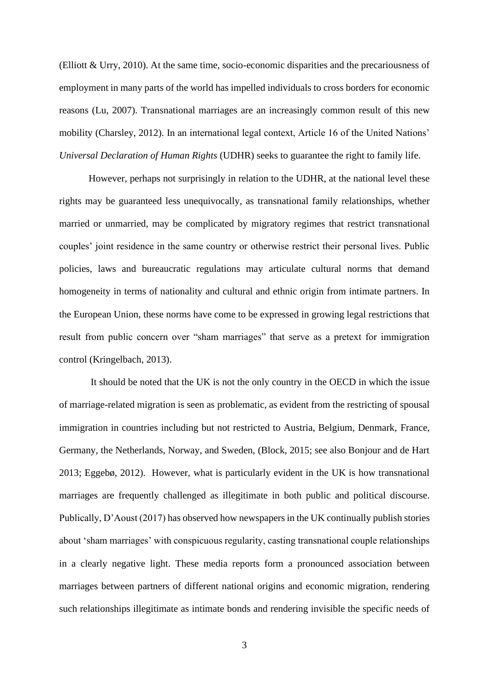(Elliott & Urry, 2010). At the same time, socio-economic disparities and the precariousness of employment in many parts of the world has impelled individuals to cross borders for economic reasons (Lu, 2007). Transnational marriages are an increasingly common result of this new mobility (Charsley, 2012). In an international legal context, Article 16 of the United Nations' *Universal Declaration of Human Rights* (UDHR) seeks to guarantee the right to family life.

However, perhaps not surprisingly in relation to the UDHR, at the national level these rights may be guaranteed less unequivocally, as transnational family relationships, whether married or unmarried, may be complicated by migratory regimes that restrict transnational couples' joint residence in the same country or otherwise restrict their personal lives. Public policies, laws and bureaucratic regulations may articulate cultural norms that demand homogeneity in terms of nationality and cultural and ethnic origin from intimate partners. In the European Union, these norms have come to be expressed in growing legal restrictions that result from public concern over "sham marriages" that serve as a pretext for immigration control (Kringelbach, 2013).

It should be noted that the UK is not the only country in the OECD in which the issue of marriage-related migration is seen as problematic, as evident from the restricting of spousal immigration in countries including but not restricted to Austria, Belgium, Denmark, France, Germany, the Netherlands, Norway, and Sweden, (Block, 2015; see also Bonjour and de Hart 2013; Eggebø, 2012). However, what is particularly evident in the UK is how transnational marriages are frequently challenged as illegitimate in both public and political discourse. Publically, D'Aoust (2017) has observed how newspapers in the UK continually publish stories about 'sham marriages' with conspicuous regularity, casting transnational couple relationships in a clearly negative light. These media reports form a pronounced association between marriages between partners of different national origins and economic migration, rendering such relationships illegitimate as intimate bonds and rendering invisible the specific needs of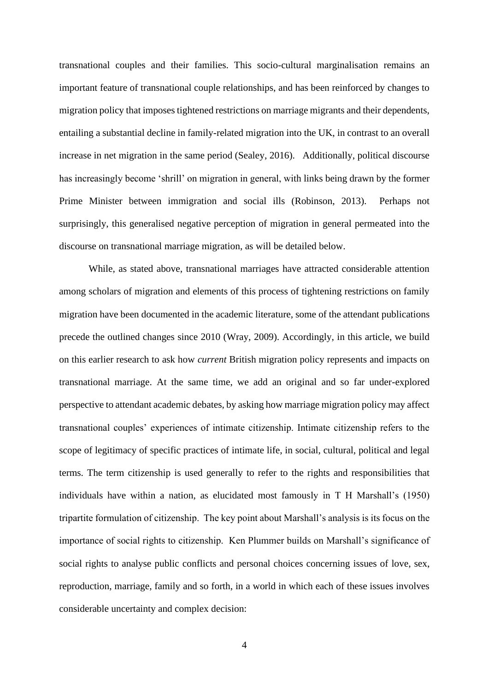transnational couples and their families. This socio-cultural marginalisation remains an important feature of transnational couple relationships, and has been reinforced by changes to migration policy that imposes tightened restrictions on marriage migrants and their dependents, entailing a substantial decline in family-related migration into the UK, in contrast to an overall increase in net migration in the same period (Sealey, 2016). Additionally, political discourse has increasingly become 'shrill' on migration in general, with links being drawn by the former Prime Minister between immigration and social ills (Robinson, 2013). Perhaps not surprisingly, this generalised negative perception of migration in general permeated into the discourse on transnational marriage migration, as will be detailed below.

While, as stated above, transnational marriages have attracted considerable attention among scholars of migration and elements of this process of tightening restrictions on family migration have been documented in the academic literature, some of the attendant publications precede the outlined changes since 2010 (Wray, 2009). Accordingly, in this article, we build on this earlier research to ask how *current* British migration policy represents and impacts on transnational marriage. At the same time, we add an original and so far under-explored perspective to attendant academic debates, by asking how marriage migration policy may affect transnational couples' experiences of intimate citizenship. Intimate citizenship refers to the scope of legitimacy of specific practices of intimate life, in social, cultural, political and legal terms. The term citizenship is used generally to refer to the rights and responsibilities that individuals have within a nation, as elucidated most famously in T H Marshall's (1950) tripartite formulation of citizenship. The key point about Marshall's analysis is its focus on the importance of social rights to citizenship. Ken Plummer builds on Marshall's significance of social rights to analyse public conflicts and personal choices concerning issues of love, sex, reproduction, marriage, family and so forth, in a world in which each of these issues involves considerable uncertainty and complex decision: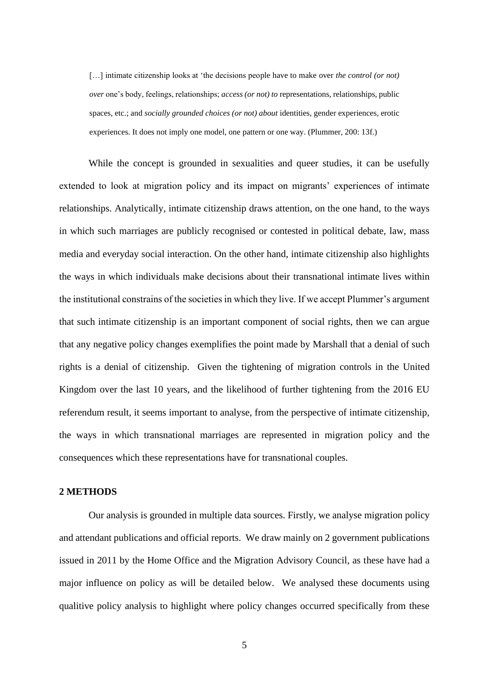[...] intimate citizenship looks at 'the decisions people have to make over *the control (or not) over* one's body, feelings, relationships; *access (or not) to* representations, relationships, public spaces, etc.; and *socially grounded choices (or not) about* identities, gender experiences, erotic experiences. It does not imply one model, one pattern or one way. (Plummer, 200: 13f.)

While the concept is grounded in sexualities and queer studies, it can be usefully extended to look at migration policy and its impact on migrants' experiences of intimate relationships. Analytically, intimate citizenship draws attention, on the one hand, to the ways in which such marriages are publicly recognised or contested in political debate, law, mass media and everyday social interaction. On the other hand, intimate citizenship also highlights the ways in which individuals make decisions about their transnational intimate lives within the institutional constrains of the societies in which they live. If we accept Plummer's argument that such intimate citizenship is an important component of social rights, then we can argue that any negative policy changes exemplifies the point made by Marshall that a denial of such rights is a denial of citizenship. Given the tightening of migration controls in the United Kingdom over the last 10 years, and the likelihood of further tightening from the 2016 EU referendum result, it seems important to analyse, from the perspective of intimate citizenship, the ways in which transnational marriages are represented in migration policy and the consequences which these representations have for transnational couples.

# **2 METHODS**

Our analysis is grounded in multiple data sources. Firstly, we analyse migration policy and attendant publications and official reports. We draw mainly on 2 government publications issued in 2011 by the Home Office and the Migration Advisory Council, as these have had a major influence on policy as will be detailed below. We analysed these documents using qualitive policy analysis to highlight where policy changes occurred specifically from these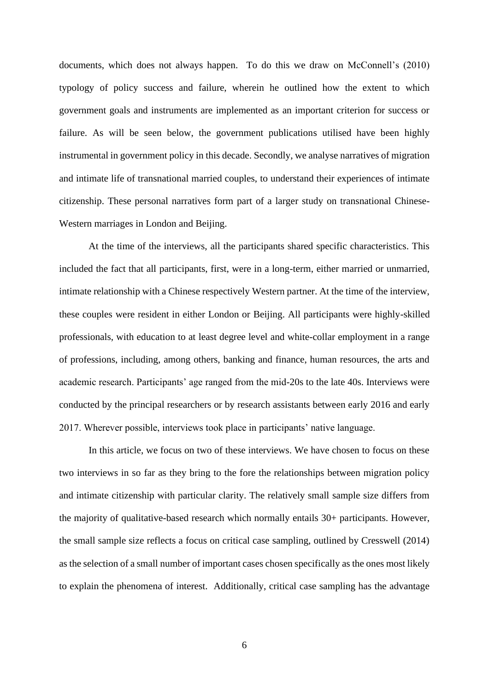documents, which does not always happen. To do this we draw on McConnell's (2010) typology of policy success and failure, wherein he outlined how the extent to which government goals and instruments are implemented as an important criterion for success or failure. As will be seen below, the government publications utilised have been highly instrumental in government policy in this decade. Secondly, we analyse narratives of migration and intimate life of transnational married couples, to understand their experiences of intimate citizenship. These personal narratives form part of a larger study on transnational Chinese-Western marriages in London and Beijing.

At the time of the interviews, all the participants shared specific characteristics. This included the fact that all participants, first, were in a long-term, either married or unmarried, intimate relationship with a Chinese respectively Western partner. At the time of the interview, these couples were resident in either London or Beijing. All participants were highly-skilled professionals, with education to at least degree level and white-collar employment in a range of professions, including, among others, banking and finance, human resources, the arts and academic research. Participants' age ranged from the mid-20s to the late 40s. Interviews were conducted by the principal researchers or by research assistants between early 2016 and early 2017. Wherever possible, interviews took place in participants' native language.

In this article, we focus on two of these interviews. We have chosen to focus on these two interviews in so far as they bring to the fore the relationships between migration policy and intimate citizenship with particular clarity. The relatively small sample size differs from the majority of qualitative-based research which normally entails 30+ participants. However, the small sample size reflects a focus on critical case sampling, outlined by Cresswell (2014) as the selection of a small number of important cases chosen specifically as the ones most likely to explain the phenomena of interest. Additionally, critical case sampling has the advantage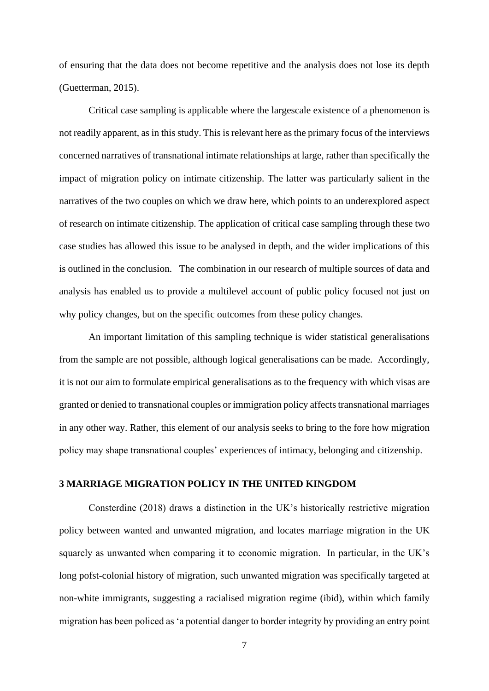of ensuring that the data does not become repetitive and the analysis does not lose its depth (Guetterman, 2015).

Critical case sampling is applicable where the largescale existence of a phenomenon is not readily apparent, as in this study. This is relevant here as the primary focus of the interviews concerned narratives of transnational intimate relationships at large, rather than specifically the impact of migration policy on intimate citizenship. The latter was particularly salient in the narratives of the two couples on which we draw here, which points to an underexplored aspect of research on intimate citizenship. The application of critical case sampling through these two case studies has allowed this issue to be analysed in depth, and the wider implications of this is outlined in the conclusion. The combination in our research of multiple sources of data and analysis has enabled us to provide a multilevel account of public policy focused not just on why policy changes, but on the specific outcomes from these policy changes.

An important limitation of this sampling technique is wider statistical generalisations from the sample are not possible, although logical generalisations can be made. Accordingly, it is not our aim to formulate empirical generalisations as to the frequency with which visas are granted or denied to transnational couples or immigration policy affects transnational marriages in any other way. Rather, this element of our analysis seeks to bring to the fore how migration policy may shape transnational couples' experiences of intimacy, belonging and citizenship.

## **3 MARRIAGE MIGRATION POLICY IN THE UNITED KINGDOM**

Consterdine (2018) draws a distinction in the UK's historically restrictive migration policy between wanted and unwanted migration, and locates marriage migration in the UK squarely as unwanted when comparing it to economic migration. In particular, in the UK's long pofst-colonial history of migration, such unwanted migration was specifically targeted at non-white immigrants, suggesting a racialised migration regime (ibid), within which family migration has been policed as 'a potential danger to border integrity by providing an entry point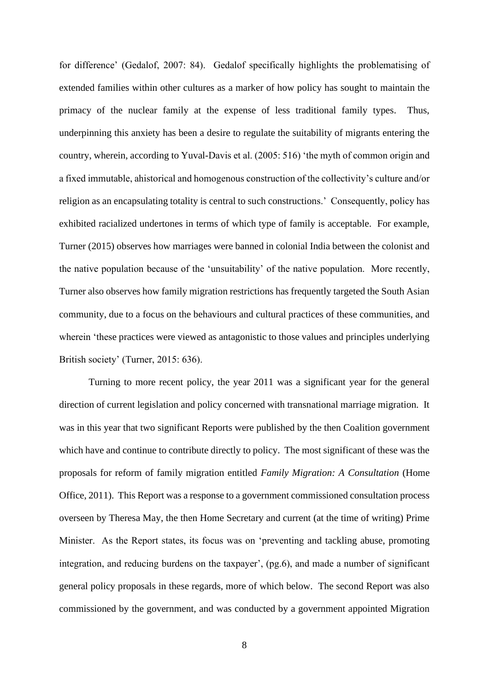for difference' (Gedalof, 2007: 84). Gedalof specifically highlights the problematising of extended families within other cultures as a marker of how policy has sought to maintain the primacy of the nuclear family at the expense of less traditional family types. Thus, underpinning this anxiety has been a desire to regulate the suitability of migrants entering the country, wherein, according to Yuval-Davis et al. (2005: 516) 'the myth of common origin and a fixed immutable, ahistorical and homogenous construction of the collectivity's culture and/or religion as an encapsulating totality is central to such constructions.' Consequently, policy has exhibited racialized undertones in terms of which type of family is acceptable. For example, Turner (2015) observes how marriages were banned in colonial India between the colonist and the native population because of the 'unsuitability' of the native population. More recently, Turner also observes how family migration restrictions has frequently targeted the South Asian community, due to a focus on the behaviours and cultural practices of these communities, and wherein 'these practices were viewed as antagonistic to those values and principles underlying British society' (Turner, 2015: 636).

Turning to more recent policy, the year 2011 was a significant year for the general direction of current legislation and policy concerned with transnational marriage migration. It was in this year that two significant Reports were published by the then Coalition government which have and continue to contribute directly to policy. The most significant of these was the proposals for reform of family migration entitled *Family Migration: A Consultation* (Home Office, 2011). This Report was a response to a government commissioned consultation process overseen by Theresa May, the then Home Secretary and current (at the time of writing) Prime Minister. As the Report states, its focus was on 'preventing and tackling abuse, promoting integration, and reducing burdens on the taxpayer', (pg.6), and made a number of significant general policy proposals in these regards, more of which below. The second Report was also commissioned by the government, and was conducted by a government appointed Migration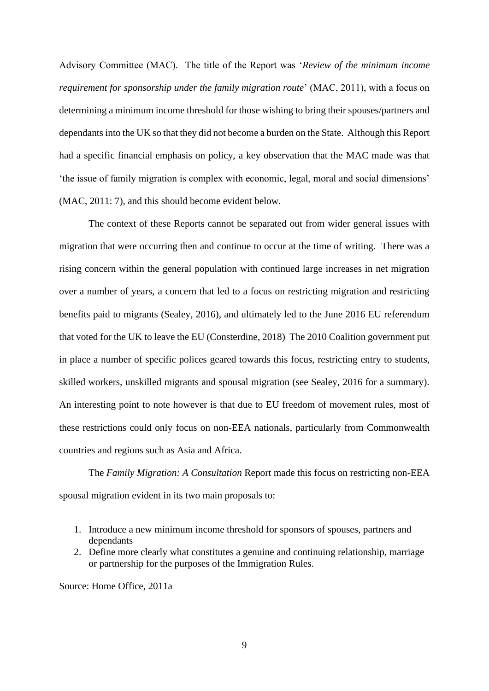Advisory Committee (MAC). The title of the Report was '*Review of the minimum income requirement for sponsorship under the family migration route*' (MAC, 2011), with a focus on determining a minimum income threshold for those wishing to bring their spouses/partners and dependants into the UK so that they did not become a burden on the State. Although this Report had a specific financial emphasis on policy, a key observation that the MAC made was that 'the issue of family migration is complex with economic, legal, moral and social dimensions' (MAC, 2011: 7), and this should become evident below.

The context of these Reports cannot be separated out from wider general issues with migration that were occurring then and continue to occur at the time of writing. There was a rising concern within the general population with continued large increases in net migration over a number of years, a concern that led to a focus on restricting migration and restricting benefits paid to migrants (Sealey, 2016), and ultimately led to the June 2016 EU referendum that voted for the UK to leave the EU (Consterdine, 2018) The 2010 Coalition government put in place a number of specific polices geared towards this focus, restricting entry to students, skilled workers, unskilled migrants and spousal migration (see Sealey, 2016 for a summary). An interesting point to note however is that due to EU freedom of movement rules, most of these restrictions could only focus on non-EEA nationals, particularly from Commonwealth countries and regions such as Asia and Africa.

The *Family Migration: A Consultation* Report made this focus on restricting non-EEA spousal migration evident in its two main proposals to:

- 1. Introduce a new minimum income threshold for sponsors of spouses, partners and dependants
- 2. Define more clearly what constitutes a genuine and continuing relationship, marriage or partnership for the purposes of the Immigration Rules.

Source: Home Office, 2011a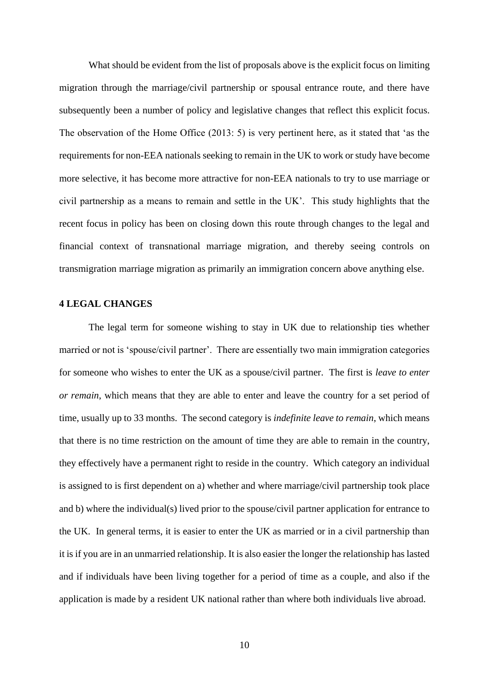What should be evident from the list of proposals above is the explicit focus on limiting migration through the marriage/civil partnership or spousal entrance route, and there have subsequently been a number of policy and legislative changes that reflect this explicit focus. The observation of the Home Office (2013: 5) is very pertinent here, as it stated that 'as the requirements for non-EEA nationals seeking to remain in the UK to work or study have become more selective, it has become more attractive for non-EEA nationals to try to use marriage or civil partnership as a means to remain and settle in the UK'. This study highlights that the recent focus in policy has been on closing down this route through changes to the legal and financial context of transnational marriage migration, and thereby seeing controls on transmigration marriage migration as primarily an immigration concern above anything else.

### **4 LEGAL CHANGES**

The legal term for someone wishing to stay in UK due to relationship ties whether married or not is 'spouse/civil partner'. There are essentially two main immigration categories for someone who wishes to enter the UK as a spouse/civil partner. The first is *leave to enter or remain*, which means that they are able to enter and leave the country for a set period of time, usually up to 33 months. The second category is *indefinite leave to remain*, which means that there is no time restriction on the amount of time they are able to remain in the country, they effectively have a permanent right to reside in the country. Which category an individual is assigned to is first dependent on a) whether and where marriage/civil partnership took place and b) where the individual(s) lived prior to the spouse/civil partner application for entrance to the UK. In general terms, it is easier to enter the UK as married or in a civil partnership than it is if you are in an unmarried relationship. It is also easier the longer the relationship has lasted and if individuals have been living together for a period of time as a couple, and also if the application is made by a resident UK national rather than where both individuals live abroad.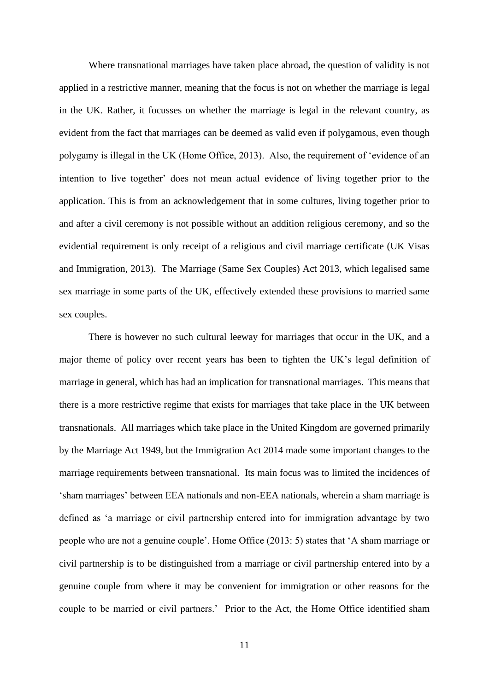Where transnational marriages have taken place abroad, the question of validity is not applied in a restrictive manner, meaning that the focus is not on whether the marriage is legal in the UK. Rather, it focusses on whether the marriage is legal in the relevant country, as evident from the fact that marriages can be deemed as valid even if polygamous, even though polygamy is illegal in the UK (Home Office, 2013). Also, the requirement of 'evidence of an intention to live together' does not mean actual evidence of living together prior to the application. This is from an acknowledgement that in some cultures, living together prior to and after a civil ceremony is not possible without an addition religious ceremony, and so the evidential requirement is only receipt of a religious and civil marriage certificate (UK Visas and Immigration, 2013). The Marriage (Same Sex Couples) Act 2013, which legalised same sex marriage in some parts of the UK, effectively extended these provisions to married same sex couples.

There is however no such cultural leeway for marriages that occur in the UK, and a major theme of policy over recent years has been to tighten the UK's legal definition of marriage in general, which has had an implication for transnational marriages. This means that there is a more restrictive regime that exists for marriages that take place in the UK between transnationals. All marriages which take place in the United Kingdom are governed primarily by the Marriage Act 1949, but the Immigration Act 2014 made some important changes to the marriage requirements between transnational. Its main focus was to limited the incidences of 'sham marriages' between EEA nationals and non-EEA nationals, wherein a sham marriage is defined as 'a marriage or civil partnership entered into for immigration advantage by two people who are not a genuine couple'. Home Office (2013: 5) states that 'A sham marriage or civil partnership is to be distinguished from a marriage or civil partnership entered into by a genuine couple from where it may be convenient for immigration or other reasons for the couple to be married or civil partners.' Prior to the Act, the Home Office identified sham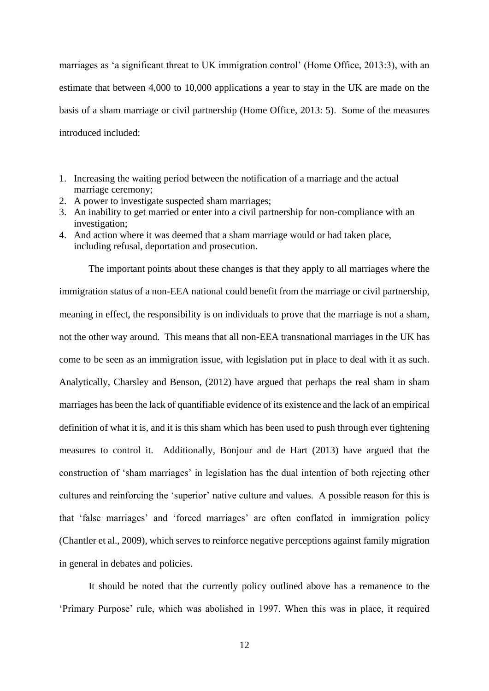marriages as 'a significant threat to UK immigration control' (Home Office, 2013:3), with an estimate that between 4,000 to 10,000 applications a year to stay in the UK are made on the basis of a sham marriage or civil partnership (Home Office, 2013: 5). Some of the measures introduced included:

- 1. Increasing the waiting period between the notification of a marriage and the actual marriage ceremony;
- 2. A power to investigate suspected sham marriages;
- 3. An inability to get married or enter into a civil partnership for non-compliance with an investigation;
- 4. And action where it was deemed that a sham marriage would or had taken place, including refusal, deportation and prosecution.

The important points about these changes is that they apply to all marriages where the immigration status of a non-EEA national could benefit from the marriage or civil partnership, meaning in effect, the responsibility is on individuals to prove that the marriage is not a sham, not the other way around. This means that all non-EEA transnational marriages in the UK has come to be seen as an immigration issue, with legislation put in place to deal with it as such. Analytically, Charsley and Benson, (2012) have argued that perhaps the real sham in sham marriages has been the lack of quantifiable evidence of its existence and the lack of an empirical definition of what it is, and it is this sham which has been used to push through ever tightening measures to control it. Additionally, Bonjour and de Hart (2013) have argued that the construction of 'sham marriages' in legislation has the dual intention of both rejecting other cultures and reinforcing the 'superior' native culture and values. A possible reason for this is that 'false marriages' and 'forced marriages' are often conflated in immigration policy (Chantler et al., 2009), which serves to reinforce negative perceptions against family migration in general in debates and policies.

It should be noted that the currently policy outlined above has a remanence to the 'Primary Purpose' rule, which was abolished in 1997. When this was in place, it required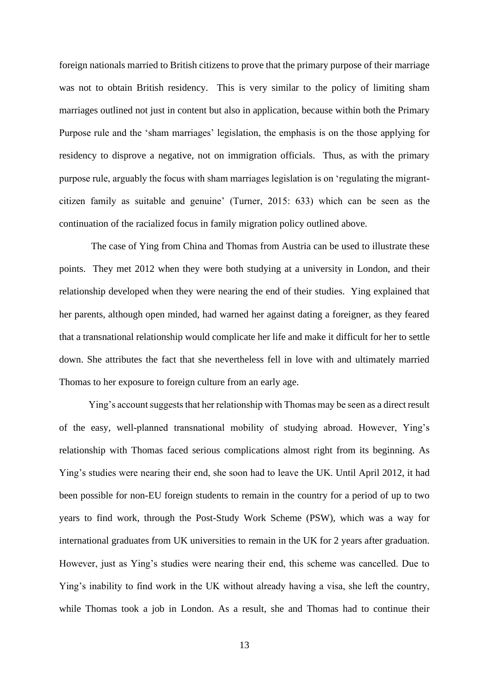foreign nationals married to British citizens to prove that the primary purpose of their marriage was not to obtain British residency. This is very similar to the policy of limiting sham marriages outlined not just in content but also in application, because within both the Primary Purpose rule and the 'sham marriages' legislation, the emphasis is on the those applying for residency to disprove a negative, not on immigration officials. Thus, as with the primary purpose rule, arguably the focus with sham marriages legislation is on 'regulating the migrantcitizen family as suitable and genuine' (Turner, 2015: 633) which can be seen as the continuation of the racialized focus in family migration policy outlined above.

The case of Ying from China and Thomas from Austria can be used to illustrate these points. They met 2012 when they were both studying at a university in London, and their relationship developed when they were nearing the end of their studies. Ying explained that her parents, although open minded, had warned her against dating a foreigner, as they feared that a transnational relationship would complicate her life and make it difficult for her to settle down. She attributes the fact that she nevertheless fell in love with and ultimately married Thomas to her exposure to foreign culture from an early age.

Ying's account suggests that her relationship with Thomas may be seen as a direct result of the easy, well-planned transnational mobility of studying abroad. However, Ying's relationship with Thomas faced serious complications almost right from its beginning. As Ying's studies were nearing their end, she soon had to leave the UK. Until April 2012, it had been possible for non-EU foreign students to remain in the country for a period of up to two years to find work, through the Post-Study Work Scheme (PSW), which was a way for international graduates from UK universities to remain in the UK for 2 years after graduation. However, just as Ying's studies were nearing their end, this scheme was cancelled. Due to Ying's inability to find work in the UK without already having a visa, she left the country, while Thomas took a job in London. As a result, she and Thomas had to continue their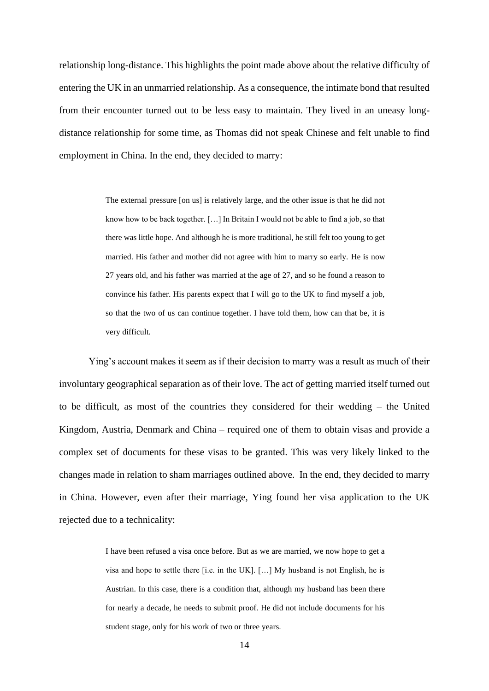relationship long-distance. This highlights the point made above about the relative difficulty of entering the UK in an unmarried relationship. As a consequence, the intimate bond that resulted from their encounter turned out to be less easy to maintain. They lived in an uneasy longdistance relationship for some time, as Thomas did not speak Chinese and felt unable to find employment in China. In the end, they decided to marry:

> The external pressure [on us] is relatively large, and the other issue is that he did not know how to be back together. […] In Britain I would not be able to find a job, so that there was little hope. And although he is more traditional, he still felt too young to get married. His father and mother did not agree with him to marry so early. He is now 27 years old, and his father was married at the age of 27, and so he found a reason to convince his father. His parents expect that I will go to the UK to find myself a job, so that the two of us can continue together. I have told them, how can that be, it is very difficult.

Ying's account makes it seem as if their decision to marry was a result as much of their involuntary geographical separation as of their love. The act of getting married itself turned out to be difficult, as most of the countries they considered for their wedding – the United Kingdom, Austria, Denmark and China – required one of them to obtain visas and provide a complex set of documents for these visas to be granted. This was very likely linked to the changes made in relation to sham marriages outlined above. In the end, they decided to marry in China. However, even after their marriage, Ying found her visa application to the UK rejected due to a technicality:

> I have been refused a visa once before. But as we are married, we now hope to get a visa and hope to settle there [i.e. in the UK]. […] My husband is not English, he is Austrian. In this case, there is a condition that, although my husband has been there for nearly a decade, he needs to submit proof. He did not include documents for his student stage, only for his work of two or three years.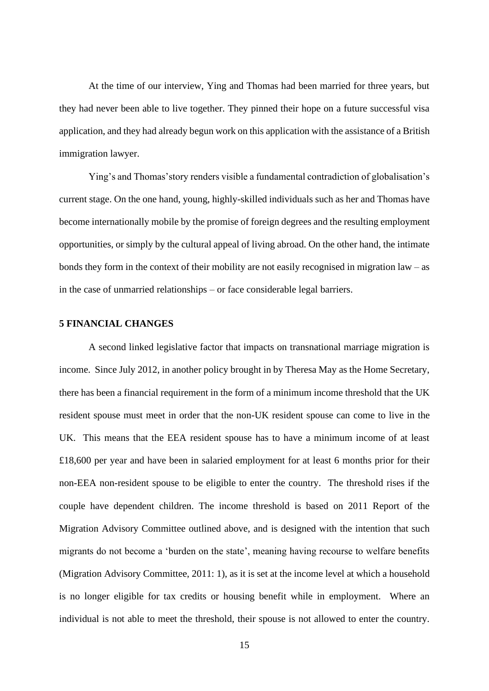At the time of our interview, Ying and Thomas had been married for three years, but they had never been able to live together. They pinned their hope on a future successful visa application, and they had already begun work on this application with the assistance of a British immigration lawyer.

Ying's and Thomas'story renders visible a fundamental contradiction of globalisation's current stage. On the one hand, young, highly-skilled individuals such as her and Thomas have become internationally mobile by the promise of foreign degrees and the resulting employment opportunities, or simply by the cultural appeal of living abroad. On the other hand, the intimate bonds they form in the context of their mobility are not easily recognised in migration law – as in the case of unmarried relationships – or face considerable legal barriers.

### **5 FINANCIAL CHANGES**

A second linked legislative factor that impacts on transnational marriage migration is income. Since July 2012, in another policy brought in by Theresa May as the Home Secretary, there has been a financial requirement in the form of a minimum income threshold that the UK resident spouse must meet in order that the non-UK resident spouse can come to live in the UK. This means that the EEA resident spouse has to have a minimum income of at least £18,600 per year and have been in salaried employment for at least 6 months prior for their non-EEA non-resident spouse to be eligible to enter the country. The threshold rises if the couple have dependent children. The income threshold is based on 2011 Report of the Migration Advisory Committee outlined above, and is designed with the intention that such migrants do not become a 'burden on the state', meaning having recourse to welfare benefits (Migration Advisory Committee, 2011: 1), as it is set at the income level at which a household is no longer eligible for tax credits or housing benefit while in employment. Where an individual is not able to meet the threshold, their spouse is not allowed to enter the country.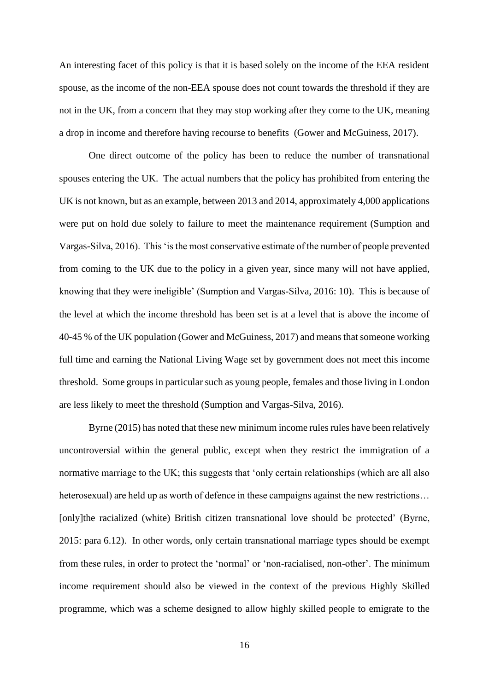An interesting facet of this policy is that it is based solely on the income of the EEA resident spouse, as the income of the non-EEA spouse does not count towards the threshold if they are not in the UK, from a concern that they may stop working after they come to the UK, meaning a drop in income and therefore having recourse to benefits (Gower and McGuiness, 2017).

One direct outcome of the policy has been to reduce the number of transnational spouses entering the UK. The actual numbers that the policy has prohibited from entering the UK is not known, but as an example, between 2013 and 2014, approximately 4,000 applications were put on hold due solely to failure to meet the maintenance requirement (Sumption and Vargas-Silva, 2016). This 'is the most conservative estimate of the number of people prevented from coming to the UK due to the policy in a given year, since many will not have applied, knowing that they were ineligible' (Sumption and Vargas-Silva, 2016: 10). This is because of the level at which the income threshold has been set is at a level that is above the income of 40-45 % of the UK population (Gower and McGuiness, 2017) and means that someone working full time and earning the National Living Wage set by government does not meet this income threshold. Some groups in particular such as young people, females and those living in London are less likely to meet the threshold (Sumption and Vargas-Silva, 2016).

Byrne (2015) has noted that these new minimum income rules rules have been relatively uncontroversial within the general public, except when they restrict the immigration of a normative marriage to the UK; this suggests that 'only certain relationships (which are all also heterosexual) are held up as worth of defence in these campaigns against the new restrictions... [only]the racialized (white) British citizen transnational love should be protected' (Byrne, 2015: para 6.12). In other words, only certain transnational marriage types should be exempt from these rules, in order to protect the 'normal' or 'non-racialised, non-other'. The minimum income requirement should also be viewed in the context of the previous Highly Skilled programme, which was a scheme designed to allow highly skilled people to emigrate to the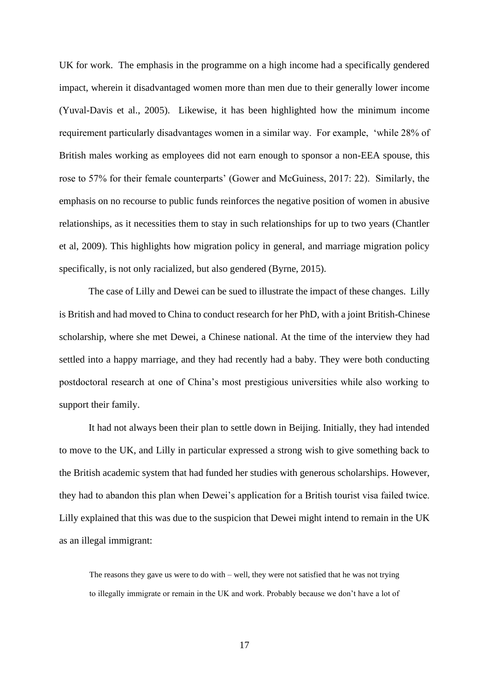UK for work. The emphasis in the programme on a high income had a specifically gendered impact, wherein it disadvantaged women more than men due to their generally lower income (Yuval-Davis et al., 2005). Likewise, it has been highlighted how the minimum income requirement particularly disadvantages women in a similar way. For example, 'while 28% of British males working as employees did not earn enough to sponsor a non-EEA spouse, this rose to 57% for their female counterparts' (Gower and McGuiness, 2017: 22). Similarly, the emphasis on no recourse to public funds reinforces the negative position of women in abusive relationships, as it necessities them to stay in such relationships for up to two years (Chantler et al, 2009). This highlights how migration policy in general, and marriage migration policy specifically, is not only racialized, but also gendered (Byrne, 2015).

The case of Lilly and Dewei can be sued to illustrate the impact of these changes. Lilly is British and had moved to China to conduct research for her PhD, with a joint British-Chinese scholarship, where she met Dewei, a Chinese national. At the time of the interview they had settled into a happy marriage, and they had recently had a baby. They were both conducting postdoctoral research at one of China's most prestigious universities while also working to support their family.

It had not always been their plan to settle down in Beijing. Initially, they had intended to move to the UK, and Lilly in particular expressed a strong wish to give something back to the British academic system that had funded her studies with generous scholarships. However, they had to abandon this plan when Dewei's application for a British tourist visa failed twice. Lilly explained that this was due to the suspicion that Dewei might intend to remain in the UK as an illegal immigrant:

The reasons they gave us were to do with – well, they were not satisfied that he was not trying to illegally immigrate or remain in the UK and work. Probably because we don't have a lot of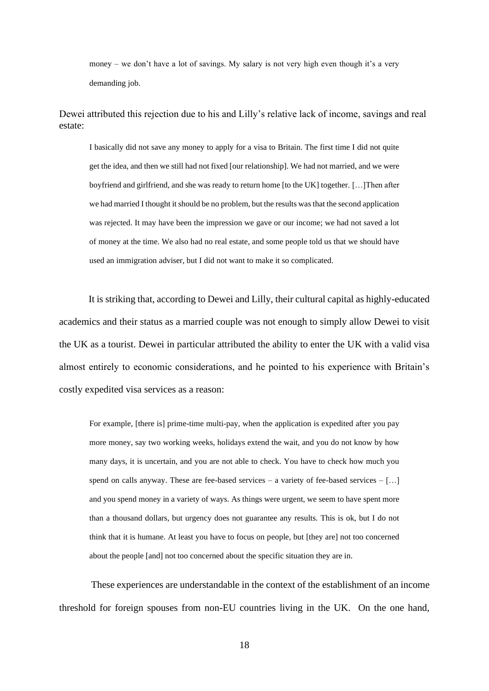money – we don't have a lot of savings. My salary is not very high even though it's a very demanding job.

Dewei attributed this rejection due to his and Lilly's relative lack of income, savings and real estate:

I basically did not save any money to apply for a visa to Britain. The first time I did not quite get the idea, and then we still had not fixed [our relationship]. We had not married, and we were boyfriend and girlfriend, and she was ready to return home [to the UK] together. […]Then after we had married I thought it should be no problem, but the results was that the second application was rejected. It may have been the impression we gave or our income; we had not saved a lot of money at the time. We also had no real estate, and some people told us that we should have used an immigration adviser, but I did not want to make it so complicated.

It is striking that, according to Dewei and Lilly, their cultural capital as highly-educated academics and their status as a married couple was not enough to simply allow Dewei to visit the UK as a tourist. Dewei in particular attributed the ability to enter the UK with a valid visa almost entirely to economic considerations, and he pointed to his experience with Britain's costly expedited visa services as a reason:

For example, [there is] prime-time multi-pay, when the application is expedited after you pay more money, say two working weeks, holidays extend the wait, and you do not know by how many days, it is uncertain, and you are not able to check. You have to check how much you spend on calls anyway. These are fee-based services – a variety of fee-based services  $-[...]$ and you spend money in a variety of ways. As things were urgent, we seem to have spent more than a thousand dollars, but urgency does not guarantee any results. This is ok, but I do not think that it is humane. At least you have to focus on people, but [they are] not too concerned about the people [and] not too concerned about the specific situation they are in.

These experiences are understandable in the context of the establishment of an income threshold for foreign spouses from non-EU countries living in the UK. On the one hand,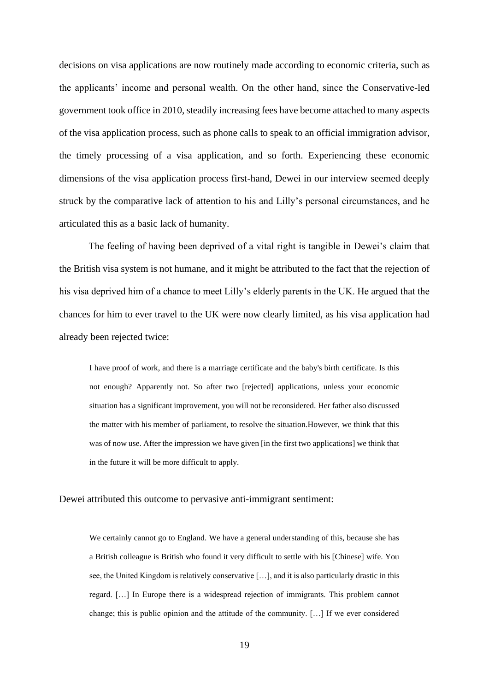decisions on visa applications are now routinely made according to economic criteria, such as the applicants' income and personal wealth. On the other hand, since the Conservative-led government took office in 2010, steadily increasing fees have become attached to many aspects of the visa application process, such as phone calls to speak to an official immigration advisor, the timely processing of a visa application, and so forth. Experiencing these economic dimensions of the visa application process first-hand, Dewei in our interview seemed deeply struck by the comparative lack of attention to his and Lilly's personal circumstances, and he articulated this as a basic lack of humanity.

The feeling of having been deprived of a vital right is tangible in Dewei's claim that the British visa system is not humane, and it might be attributed to the fact that the rejection of his visa deprived him of a chance to meet Lilly's elderly parents in the UK. He argued that the chances for him to ever travel to the UK were now clearly limited, as his visa application had already been rejected twice:

I have proof of work, and there is a marriage certificate and the baby's birth certificate. Is this not enough? Apparently not. So after two [rejected] applications, unless your economic situation has a significant improvement, you will not be reconsidered. Her father also discussed the matter with his member of parliament, to resolve the situation.However, we think that this was of now use. After the impression we have given [in the first two applications] we think that in the future it will be more difficult to apply.

#### Dewei attributed this outcome to pervasive anti-immigrant sentiment:

We certainly cannot go to England. We have a general understanding of this, because she has a British colleague is British who found it very difficult to settle with his [Chinese] wife. You see, the United Kingdom is relatively conservative […], and it is also particularly drastic in this regard. […] In Europe there is a widespread rejection of immigrants. This problem cannot change; this is public opinion and the attitude of the community. […] If we ever considered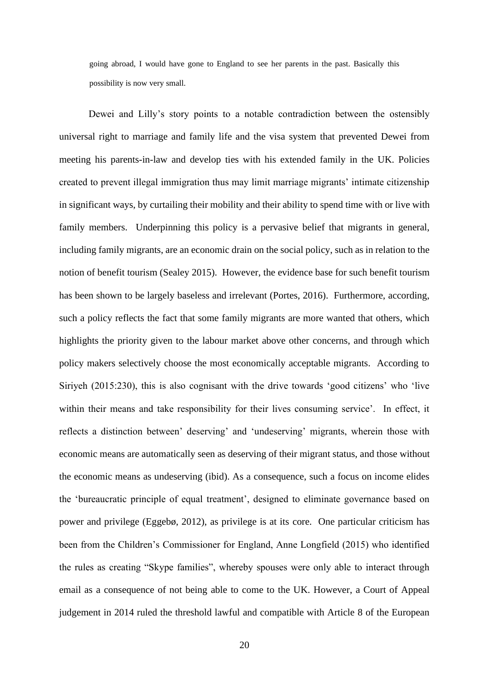going abroad, I would have gone to England to see her parents in the past. Basically this possibility is now very small.

Dewei and Lilly's story points to a notable contradiction between the ostensibly universal right to marriage and family life and the visa system that prevented Dewei from meeting his parents-in-law and develop ties with his extended family in the UK. Policies created to prevent illegal immigration thus may limit marriage migrants' intimate citizenship in significant ways, by curtailing their mobility and their ability to spend time with or live with family members. Underpinning this policy is a pervasive belief that migrants in general, including family migrants, are an economic drain on the social policy, such as in relation to the notion of benefit tourism (Sealey 2015). However, the evidence base for such benefit tourism has been shown to be largely baseless and irrelevant (Portes, 2016). Furthermore, according, such a policy reflects the fact that some family migrants are more wanted that others, which highlights the priority given to the labour market above other concerns, and through which policy makers selectively choose the most economically acceptable migrants. According to Siriyeh (2015:230), this is also cognisant with the drive towards 'good citizens' who 'live within their means and take responsibility for their lives consuming service'. In effect, it reflects a distinction between' deserving' and 'undeserving' migrants, wherein those with economic means are automatically seen as deserving of their migrant status, and those without the economic means as undeserving (ibid). As a consequence, such a focus on income elides the 'bureaucratic principle of equal treatment', designed to eliminate governance based on power and privilege (Eggebø, 2012), as privilege is at its core. One particular criticism has been from the Children's Commissioner for England, Anne Longfield (2015) who identified the rules as creating "Skype families", whereby spouses were only able to interact through email as a consequence of not being able to come to the UK. However, a Court of Appeal judgement in 2014 ruled the threshold lawful and compatible with Article 8 of the European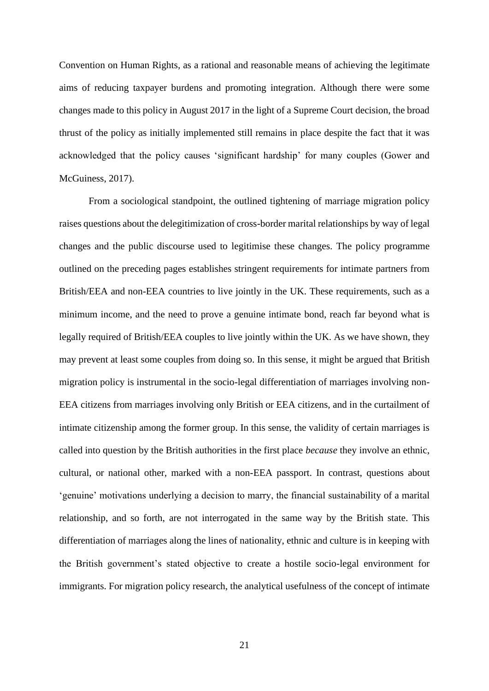Convention on Human Rights, as a rational and reasonable means of achieving the legitimate aims of reducing taxpayer burdens and promoting integration. Although there were some changes made to this policy in August 2017 in the light of a Supreme Court decision, the broad thrust of the policy as initially implemented still remains in place despite the fact that it was acknowledged that the policy causes 'significant hardship' for many couples (Gower and McGuiness, 2017).

From a sociological standpoint, the outlined tightening of marriage migration policy raises questions about the delegitimization of cross-border marital relationships by way of legal changes and the public discourse used to legitimise these changes. The policy programme outlined on the preceding pages establishes stringent requirements for intimate partners from British/EEA and non-EEA countries to live jointly in the UK. These requirements, such as a minimum income, and the need to prove a genuine intimate bond, reach far beyond what is legally required of British/EEA couples to live jointly within the UK. As we have shown, they may prevent at least some couples from doing so. In this sense, it might be argued that British migration policy is instrumental in the socio-legal differentiation of marriages involving non-EEA citizens from marriages involving only British or EEA citizens, and in the curtailment of intimate citizenship among the former group. In this sense, the validity of certain marriages is called into question by the British authorities in the first place *because* they involve an ethnic, cultural, or national other, marked with a non-EEA passport. In contrast, questions about 'genuine' motivations underlying a decision to marry, the financial sustainability of a marital relationship, and so forth, are not interrogated in the same way by the British state. This differentiation of marriages along the lines of nationality, ethnic and culture is in keeping with the British government's stated objective to create a hostile socio-legal environment for immigrants. For migration policy research, the analytical usefulness of the concept of intimate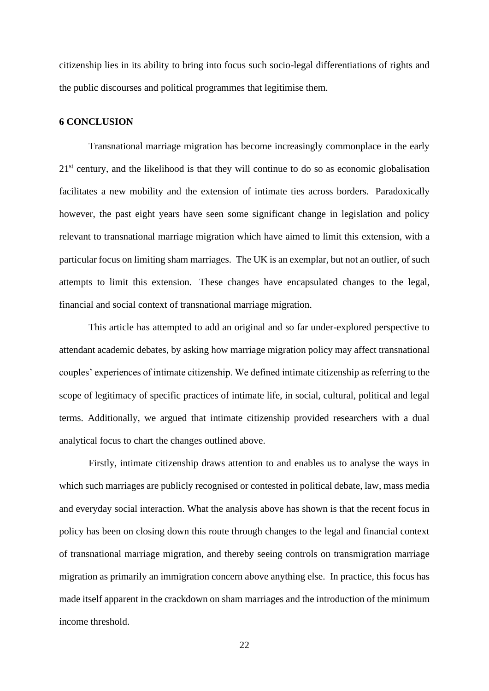citizenship lies in its ability to bring into focus such socio-legal differentiations of rights and the public discourses and political programmes that legitimise them.

## **6 CONCLUSION**

Transnational marriage migration has become increasingly commonplace in the early  $21<sup>st</sup>$  century, and the likelihood is that they will continue to do so as economic globalisation facilitates a new mobility and the extension of intimate ties across borders. Paradoxically however, the past eight years have seen some significant change in legislation and policy relevant to transnational marriage migration which have aimed to limit this extension, with a particular focus on limiting sham marriages. The UK is an exemplar, but not an outlier, of such attempts to limit this extension. These changes have encapsulated changes to the legal, financial and social context of transnational marriage migration.

This article has attempted to add an original and so far under-explored perspective to attendant academic debates, by asking how marriage migration policy may affect transnational couples' experiences of intimate citizenship. We defined intimate citizenship as referring to the scope of legitimacy of specific practices of intimate life, in social, cultural, political and legal terms. Additionally, we argued that intimate citizenship provided researchers with a dual analytical focus to chart the changes outlined above.

Firstly, intimate citizenship draws attention to and enables us to analyse the ways in which such marriages are publicly recognised or contested in political debate, law, mass media and everyday social interaction. What the analysis above has shown is that the recent focus in policy has been on closing down this route through changes to the legal and financial context of transnational marriage migration, and thereby seeing controls on transmigration marriage migration as primarily an immigration concern above anything else. In practice, this focus has made itself apparent in the crackdown on sham marriages and the introduction of the minimum income threshold.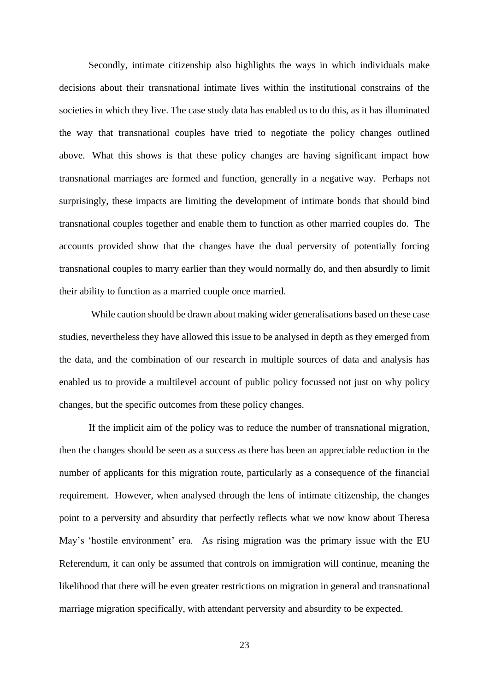Secondly, intimate citizenship also highlights the ways in which individuals make decisions about their transnational intimate lives within the institutional constrains of the societies in which they live. The case study data has enabled us to do this, as it has illuminated the way that transnational couples have tried to negotiate the policy changes outlined above. What this shows is that these policy changes are having significant impact how transnational marriages are formed and function, generally in a negative way. Perhaps not surprisingly, these impacts are limiting the development of intimate bonds that should bind transnational couples together and enable them to function as other married couples do. The accounts provided show that the changes have the dual perversity of potentially forcing transnational couples to marry earlier than they would normally do, and then absurdly to limit their ability to function as a married couple once married.

While caution should be drawn about making wider generalisations based on these case studies, nevertheless they have allowed this issue to be analysed in depth as they emerged from the data, and the combination of our research in multiple sources of data and analysis has enabled us to provide a multilevel account of public policy focussed not just on why policy changes, but the specific outcomes from these policy changes.

If the implicit aim of the policy was to reduce the number of transnational migration, then the changes should be seen as a success as there has been an appreciable reduction in the number of applicants for this migration route, particularly as a consequence of the financial requirement. However, when analysed through the lens of intimate citizenship, the changes point to a perversity and absurdity that perfectly reflects what we now know about Theresa May's 'hostile environment' era. As rising migration was the primary issue with the EU Referendum, it can only be assumed that controls on immigration will continue, meaning the likelihood that there will be even greater restrictions on migration in general and transnational marriage migration specifically, with attendant perversity and absurdity to be expected.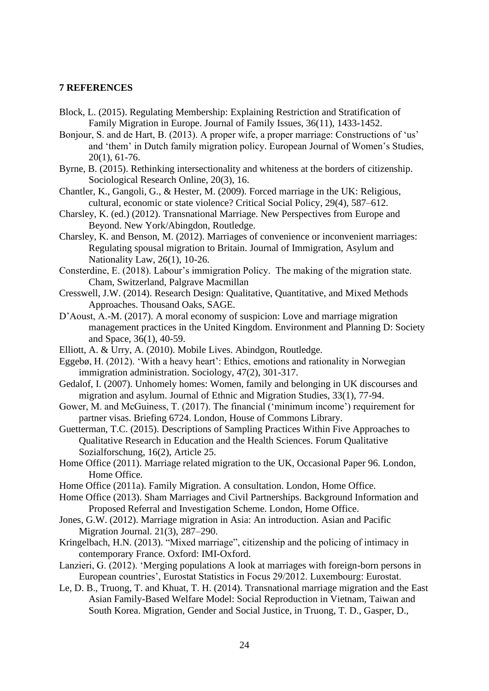## **7 REFERENCES**

- Block, L. (2015). Regulating Membership: Explaining Restriction and Stratification of Family Migration in Europe. Journal of Family Issues, 36(11), 1433-1452.
- Bonjour, S. and de Hart, B. (2013). A proper wife, a proper marriage: Constructions of 'us' and 'them' in Dutch family migration policy. European Journal of Women's Studies, 20(1), 61-76.
- Byrne, B. (2015). Rethinking intersectionality and whiteness at the borders of citizenship. Sociological Research Online, 20(3), 16.
- Chantler, K., Gangoli, G., & Hester, M. (2009). Forced marriage in the UK: Religious, cultural, economic or state violence? Critical Social Policy, 29(4), 587–612.
- Charsley, K. (ed.) (2012). Transnational Marriage. New Perspectives from Europe and Beyond. New York/Abingdon, Routledge.
- Charsley, K. and Benson, M. (2012). Marriages of convenience or inconvenient marriages: Regulating spousal migration to Britain. Journal of Immigration, Asylum and Nationality Law, 26(1), 10-26.
- Consterdine, E. (2018). Labour's immigration Policy. The making of the migration state. Cham, Switzerland, Palgrave Macmillan
- Cresswell, J.W. (2014). Research Design: Qualitative, Quantitative, and Mixed Methods Approaches. Thousand Oaks, SAGE.
- D'Aoust, A.-M. (2017). A moral economy of suspicion: Love and marriage migration management practices in the United Kingdom. Environment and Planning D: Society and Space, 36(1), 40-59.
- Elliott, A. & Urry, A. (2010). Mobile Lives. Abindgon, Routledge.
- Eggebø, H. (2012). 'With a heavy heart': Ethics, emotions and rationality in Norwegian immigration administration. Sociology, 47(2), 301-317.
- Gedalof, I. (2007). Unhomely homes: Women, family and belonging in UK discourses and migration and asylum. Journal of Ethnic and Migration Studies, 33(1), 77-94.
- Gower, M. and McGuiness, T. (2017). The financial ('minimum income') requirement for partner visas. Briefing 6724. London, House of Commons Library.
- Guetterman, T.C. (2015). Descriptions of Sampling Practices Within Five Approaches to Qualitative Research in Education and the Health Sciences. Forum Qualitative Sozialforschung, 16(2), Article 25.
- Home Office (2011). Marriage related migration to the UK, Occasional Paper 96. London, Home Office.
- Home Office (2011a). Family Migration. A consultation. London, Home Office.
- Home Office (2013). Sham Marriages and Civil Partnerships. Background Information and Proposed Referral and Investigation Scheme. London, Home Office.
- Jones, G.W. (2012). Marriage migration in Asia: An introduction. Asian and Pacific Migration Journal. 21(3), 287–290.
- Kringelbach, H.N. (2013). "Mixed marriage", citizenship and the policing of intimacy in contemporary France. Oxford: IMI-Oxford.
- Lanzieri, G. (2012). 'Merging populations A look at marriages with foreign-born persons in European countries', Eurostat Statistics in Focus 29/2012. Luxembourg: Eurostat.
- Le, D. B., Truong, T. and Khuat, T. H. (2014). Transnational marriage migration and the East Asian Family-Based Welfare Model: Social Reproduction in Vietnam, Taiwan and South Korea. Migration, Gender and Social Justice, in Truong, T. D., Gasper, D.,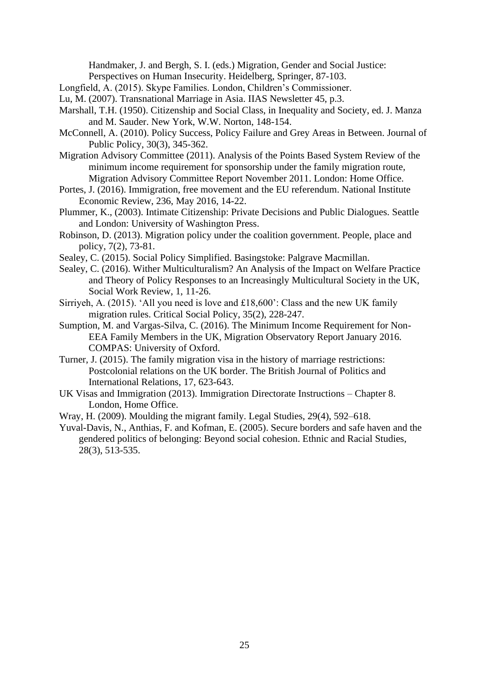Handmaker, J. and Bergh, S. I. (eds.) Migration, Gender and Social Justice: Perspectives on Human Insecurity. Heidelberg, Springer, 87-103.

- Longfield, A. (2015). Skype Families. London, Children's Commissioner.
- Lu, M. (2007). Transnational Marriage in Asia. IIAS Newsletter 45, p.3.
- Marshall, T.H. (1950). Citizenship and Social Class, in Inequality and Society, ed. J. Manza and M. Sauder. New York, W.W. Norton, 148-154.
- McConnell, A. (2010). Policy Success, Policy Failure and Grey Areas in Between. Journal of Public Policy, 30(3), 345-362.
- Migration Advisory Committee (2011). Analysis of the Points Based System Review of the minimum income requirement for sponsorship under the family migration route, Migration Advisory Committee Report November 2011. London: Home Office.
- Portes, J. (2016). Immigration, free movement and the EU referendum. National Institute Economic Review, 236, May 2016, 14-22.
- Plummer, K., (2003). Intimate Citizenship: Private Decisions and Public Dialogues. Seattle and London: University of Washington Press.
- Robinson, D. (2013). Migration policy under the coalition government. People, place and policy, 7(2), 73-81.
- Sealey, C. (2015). Social Policy Simplified. Basingstoke: Palgrave Macmillan.
- Sealey, C. (2016). Wither Multiculturalism? An Analysis of the Impact on Welfare Practice and Theory of Policy Responses to an Increasingly Multicultural Society in the UK, Social Work Review, 1, 11-26.
- Sirriyeh, A. (2015). 'All you need is love and £18,600': Class and the new UK family migration rules. Critical Social Policy, 35(2), 228-247.
- Sumption, M. and Vargas-Silva, C. (2016). The Minimum Income Requirement for Non-EEA Family Members in the UK, Migration Observatory Report January 2016. COMPAS: University of Oxford.
- Turner, J. (2015). The family migration visa in the history of marriage restrictions: Postcolonial relations on the UK border. The British Journal of Politics and International Relations, 17, 623-643.
- UK Visas and Immigration (2013). Immigration Directorate Instructions Chapter 8. London, Home Office.
- Wray, H. (2009). Moulding the migrant family. Legal Studies, 29(4), 592–618.
- Yuval-Davis, N., Anthias, F. and Kofman, E. (2005). Secure borders and safe haven and the gendered politics of belonging: Beyond social cohesion. Ethnic and Racial Studies, 28(3), 513-535.